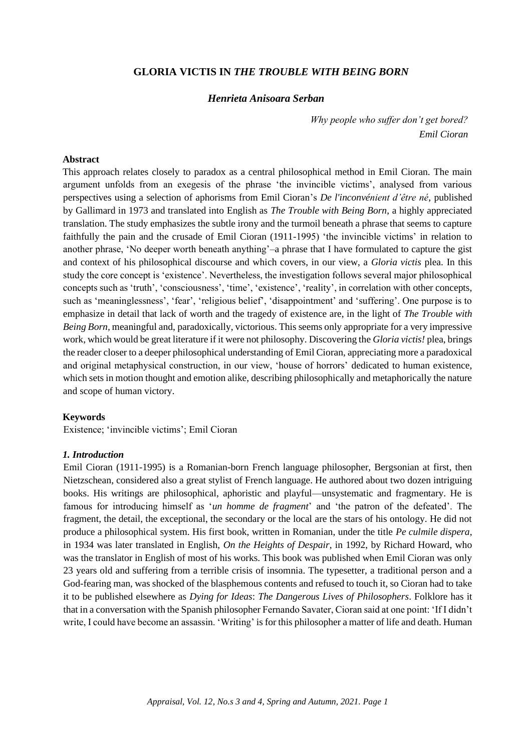# **GLORIA VICTIS IN** *THE TROUBLE WITH BEING BORN*

## *Henrieta Anisoara Serban*

*Why people who suffer don't get bored? Emil Cioran*

#### **Abstract**

This approach relates closely to paradox as a central philosophical method in Emil Cioran. The main argument unfolds from an exegesis of the phrase 'the invincible victims', analysed from various perspectives using a selection of aphorisms from Emil Cioran's *De l'inconvénient d'être né*, published by Gallimard in 1973 and translated into English as *The Trouble with Being Born*, a highly appreciated translation. The study emphasizes the subtle irony and the turmoil beneath a phrase that seems to capture faithfully the pain and the crusade of Emil Cioran (1911-1995) 'the invincible victims' in relation to another phrase, 'No deeper worth beneath anything'–a phrase that I have formulated to capture the gist and context of his philosophical discourse and which covers, in our view, a *Gloria victis* plea. In this study the core concept is 'existence'. Nevertheless, the investigation follows several major philosophical concepts such as 'truth', 'consciousness', 'time', 'existence', 'reality', in correlation with other concepts, such as 'meaninglessness', 'fear', 'religious belief', 'disappointment' and 'suffering'. One purpose is to emphasize in detail that lack of worth and the tragedy of existence are, in the light of *The Trouble with Being Born,* meaningful and, paradoxically, victorious. This seems only appropriate for a very impressive work, which would be great literature if it were not philosophy. Discovering the *Gloria victis!* plea, brings the reader closer to a deeper philosophical understanding of Emil Cioran, appreciating more a paradoxical and original metaphysical construction, in our view, 'house of horrors' dedicated to human existence, which sets in motion thought and emotion alike, describing philosophically and metaphorically the nature and scope of human victory.

### **Keywords**

Existence; 'invincible victims'; Emil Cioran

### *1. Introduction*

Emil Cioran (1911-1995) is a Romanian-born French language philosopher, Bergsonian at first, then Nietzschean, considered also a great stylist of French language. He authored about two dozen intriguing books. His writings are philosophical, aphoristic and playful—unsystematic and fragmentary. He is famous for introducing himself as '*un homme de fragment*' and 'the patron of the defeated'. The fragment, the detail, the exceptional, the secondary or the local are the stars of his ontology. He did not produce a philosophical system. His first book, written in Romanian, under the title *Pe culmile dispera*, in 1934 was later translated in English, *On the Heights of Despair*, in 1992, by Richard Howard, who was the translator in English of most of his works. This book was published when Emil Cioran was only 23 years old and suffering from a terrible crisis of insomnia. The typesetter, a traditional person and a God-fearing man, was shocked of the blasphemous contents and refused to touch it, so Cioran had to take it to be published elsewhere as *Dying for Ideas*: *The Dangerous Lives of Philosophers*. Folklore has it that in a conversation with the Spanish philosopher Fernando Savater, Cioran said at one point: 'If I didn't write, I could have become an assassin. 'Writing' is for this philosopher a matter of life and death. Human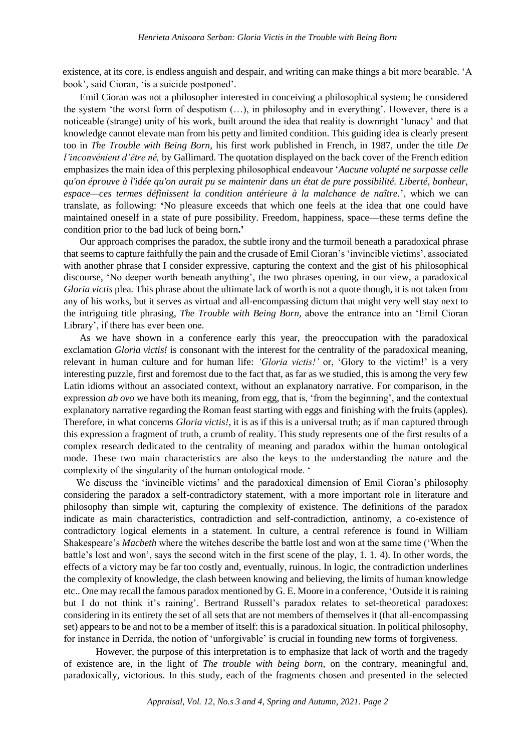existence, at its core, is endless anguish and despair, and writing can make things a bit more bearable. 'A book', said Cioran, 'is a suicide postponed'.

Emil Cioran was not a philosopher interested in conceiving a philosophical system; he considered the system 'the worst form of despotism (…), in philosophy and in everything'. However, there is a noticeable (strange) unity of his work, built around the idea that reality is downright 'lunacy' and that knowledge cannot elevate man from his petty and limited condition. This guiding idea is clearly present too in *The Trouble with Being Born,* his first work published in French, in 1987, under the title *De l'inconvénient d'être né,* by Gallimard*.* The quotation displayed on the back cover of the French edition emphasizes the main idea of this perplexing philosophical endeavour '*Aucune volupté ne surpasse celle qu'on éprouve à l'idée qu'on aurait pu se maintenir dans un état de pure possibilité. Liberté, bonheur, espace—ces termes définissent la condition antérieure à la malchance de naître.*', which we can translate, as following: **'**No pleasure exceeds that which one feels at the idea that one could have maintained oneself in a state of pure possibility. Freedom, happiness, space—these terms define the condition prior to the bad luck of being born**.'**

Our approach comprises the paradox, the subtle irony and the turmoil beneath a paradoxical phrase that seems to capture faithfully the pain and the crusade of Emil Cioran's'invincible victims', associated with another phrase that I consider expressive, capturing the context and the gist of his philosophical discourse, 'No deeper worth beneath anything', the two phrases opening, in our view, a paradoxical *Gloria victis* plea*.* This phrase about the ultimate lack of worth is not a quote though, it is not taken from any of his works, but it serves as virtual and all-encompassing dictum that might very well stay next to the intriguing title phrasing, *The Trouble with Being Born,* above the entrance into an 'Emil Cioran Library', if there has ever been one*.*

As we have shown in a conference early this year, the preoccupation with the paradoxical exclamation *Gloria victis!* is consonant with the interest for the centrality of the paradoxical meaning, relevant in human culture and for human life: *'Gloria victis!'* or, 'Glory to the victim!' is a very interesting puzzle, first and foremost due to the fact that, as far as we studied, this is among the very few Latin idioms without an associated context, without an explanatory narrative. For comparison, in the expression *ab ovo* we have both its meaning, from egg, that is, 'from the beginning', and the contextual explanatory narrative regarding the Roman feast starting with eggs and finishing with the fruits (apples). Therefore, in what concerns *Gloria victis!,* it is as if this is a universal truth; as if man captured through this expression a fragment of truth, a crumb of reality. This study represents one of the first results of a complex research dedicated to the centrality of meaning and paradox within the human ontological mode. These two main characteristics are also the keys to the understanding the nature and the complexity of the singularity of the human ontological mode. '

We discuss the 'invincible victims' and the paradoxical dimension of Emil Cioran's philosophy considering the paradox a self-contradictory statement, with a more important role in literature and philosophy than simple wit, capturing the complexity of existence. The definitions of the paradox indicate as main characteristics, contradiction and self-contradiction, antinomy, a co-existence of contradictory logical elements in a statement. In culture, a central reference is found in William Shakespeare's *Macbeth* where the witches describe the battle lost and won at the same time ('When the battle's lost and won', says the second witch in the first scene of the play, 1. 1. 4). In other words, the effects of a victory may be far too costly and, eventually, ruinous. In logic, the contradiction underlines the complexity of knowledge, the clash between knowing and believing, the limits of human knowledge etc.. One may recall the famous paradox mentioned by G. E. Moore in a conference, 'Outside it is raining but I do not think it's raining'. Bertrand Russell's paradox relates to set-theoretical paradoxes: considering in its entirety the set of all sets that are not members of themselves it (that all-encompassing set) appears to be and not to be a member of itself: this is a paradoxical situation. In political philosophy, for instance in Derrida, the notion of 'unforgivable' is crucial in founding new forms of forgiveness*.*

However, the purpose of this interpretation is to emphasize that lack of worth and the tragedy of existence are, in the light of *The trouble with being born,* on the contrary, meaningful and, paradoxically, victorious. In this study, each of the fragments chosen and presented in the selected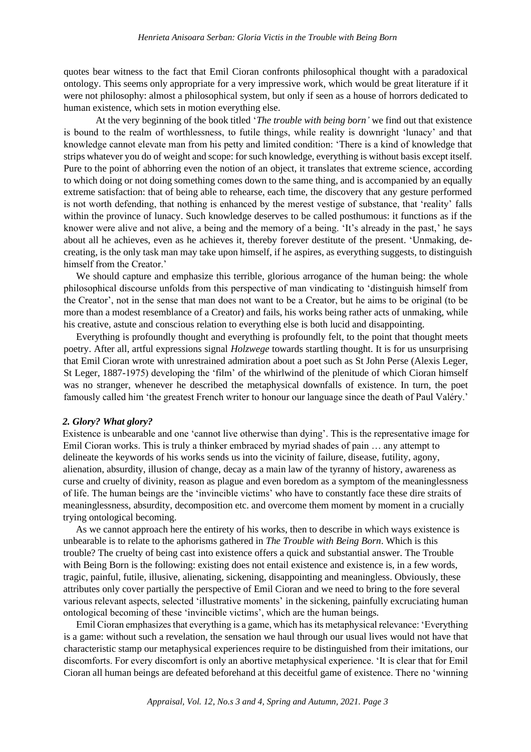quotes bear witness to the fact that Emil Cioran confronts philosophical thought with a paradoxical ontology. This seems only appropriate for a very impressive work, which would be great literature if it were not philosophy: almost a philosophical system, but only if seen as a house of horrors dedicated to human existence, which sets in motion everything else.

At the very beginning of the book titled '*The trouble with being born'* we find out that existence is bound to the realm of worthlessness, to futile things, while reality is downright 'lunacy' and that knowledge cannot elevate man from his petty and limited condition: 'There is a kind of knowledge that strips whatever you do of weight and scope: for such knowledge, everything is without basis except itself. Pure to the point of abhorring even the notion of an object, it translates that extreme science, according to which doing or not doing something comes down to the same thing, and is accompanied by an equally extreme satisfaction: that of being able to rehearse, each time, the discovery that any gesture performed is not worth defending, that nothing is enhanced by the merest vestige of substance, that 'reality' falls within the province of lunacy. Such knowledge deserves to be called posthumous: it functions as if the knower were alive and not alive, a being and the memory of a being. 'It's already in the past,' he says about all he achieves, even as he achieves it, thereby forever destitute of the present. 'Unmaking, decreating, is the only task man may take upon himself, if he aspires, as everything suggests, to distinguish himself from the Creator.'

We should capture and emphasize this terrible, glorious arrogance of the human being: the whole philosophical discourse unfolds from this perspective of man vindicating to 'distinguish himself from the Creator', not in the sense that man does not want to be a Creator, but he aims to be original (to be more than a modest resemblance of a Creator) and fails, his works being rather acts of unmaking, while his creative, astute and conscious relation to everything else is both lucid and disappointing.

Everything is profoundly thought and everything is profoundly felt, to the point that thought meets poetry. After all, artful expressions signal *Holzwege* towards startling thought. It is for us unsurprising that Emil Cioran wrote with unrestrained admiration about a poet such as St John Perse (Alexis Leger, St Leger, 1887-1975) developing the 'film' of the whirlwind of the plenitude of which Cioran himself was no stranger, whenever he described the metaphysical downfalls of existence. In turn, the poet famously called him 'the greatest French writer to honour our language since the death of Paul Valéry.'

#### *2. Glory? What glory?*

Existence is unbearable and one 'cannot live otherwise than dying'. This is the representative image for Emil Cioran works. This is truly a thinker embraced by myriad shades of pain … any attempt to delineate the keywords of his works sends us into the vicinity of failure, disease, futility, agony, alienation, absurdity, illusion of change, decay as a main law of the tyranny of history, awareness as curse and cruelty of divinity, reason as plague and even boredom as a symptom of the meaninglessness of life. The human beings are the 'invincible victims' who have to constantly face these dire straits of meaninglessness, absurdity, decomposition etc. and overcome them moment by moment in a crucially trying ontological becoming.

As we cannot approach here the entirety of his works, then to describe in which ways existence is unbearable is to relate to the aphorisms gathered in *The Trouble with Being Born*. Which is this trouble? The cruelty of being cast into existence offers a quick and substantial answer. The Trouble with Being Born is the following: existing does not entail existence and existence is, in a few words, tragic, painful, futile, illusive, alienating, sickening, disappointing and meaningless. Obviously, these attributes only cover partially the perspective of Emil Cioran and we need to bring to the fore several various relevant aspects, selected 'illustrative moments' in the sickening, painfully excruciating human ontological becoming of these 'invincible victims', which are the human beings*.*

Emil Cioran emphasizes that everything is a game, which has its metaphysical relevance: 'Everything is a game: without such a revelation, the sensation we haul through our usual lives would not have that characteristic stamp our metaphysical experiences require to be distinguished from their imitations, our discomforts. For every discomfort is only an abortive metaphysical experience. 'It is clear that for Emil Cioran all human beings are defeated beforehand at this deceitful game of existence. There no 'winning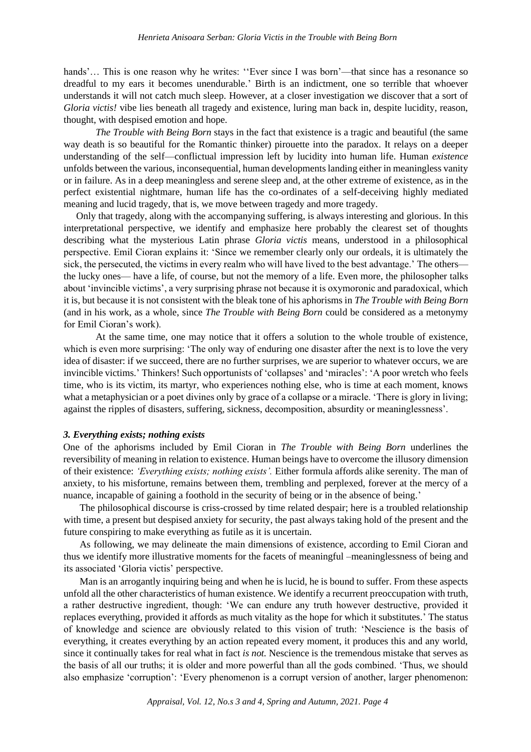hands'... This is one reason why he writes: "Ever since I was born'—that since has a resonance so dreadful to my ears it becomes unendurable.' Birth is an indictment, one so terrible that whoever understands it will not catch much sleep. However, at a closer investigation we discover that a sort of *Gloria victis!* vibe lies beneath all tragedy and existence, luring man back in, despite lucidity, reason, thought, with despised emotion and hope*.*

*The Trouble with Being Born* stays in the fact that existence is a tragic and beautiful (the same way death is so beautiful for the Romantic thinker) pirouette into the paradox. It relays on a deeper understanding of the self—conflictual impression left by lucidity into human life. Human *existence* unfolds between the various, inconsequential, human developments landing either in meaningless vanity or in failure. As in a deep meaningless and serene sleep and, at the other extreme of existence, as in the perfect existential nightmare, human life has the co-ordinates of a self-deceiving highly mediated meaning and lucid tragedy, that is, we move between tragedy and more tragedy.

Only that tragedy, along with the accompanying suffering, is always interesting and glorious. In this interpretational perspective, we identify and emphasize here probably the clearest set of thoughts describing what the mysterious Latin phrase *Gloria victis* means, understood in a philosophical perspective. Emil Cioran explains it: 'Since we remember clearly only our ordeals, it is ultimately the sick, the persecuted, the victims in every realm who will have lived to the best advantage.' The others the lucky ones— have a life, of course, but not the memory of a life. Even more, the philosopher talks about 'invincible victims', a very surprising phrase not because it is oxymoronic and paradoxical, which it is, but because it is not consistent with the bleak tone of his aphorisms in *The Trouble with Being Born*  (and in his work, as a whole, since *The Trouble with Being Born* could be considered as a metonymy for Emil Cioran's work).

At the same time, one may notice that it offers a solution to the whole trouble of existence, which is even more surprising: 'The only way of enduring one disaster after the next is to love the very idea of disaster: if we succeed, there are no further surprises, we are superior to whatever occurs, we are invincible victims.' Thinkers! Such opportunists of 'collapses' and 'miracles': 'A poor wretch who feels time, who is its victim, its martyr, who experiences nothing else, who is time at each moment, knows what a metaphysician or a poet divines only by grace of a collapse or a miracle. 'There is glory in living; against the ripples of disasters, suffering, sickness, decomposition, absurdity or meaninglessness'.

#### *3. Everything exists; nothing exists*

One of the aphorisms included by Emil Cioran in *The Trouble with Being Born* underlines the reversibility of meaning in relation to existence. Human beings have to overcome the illusory dimension of their existence: *'Everything exists; nothing exists'.* Either formula affords alike serenity. The man of anxiety, to his misfortune, remains between them, trembling and perplexed, forever at the mercy of a nuance, incapable of gaining a foothold in the security of being or in the absence of being.'

The philosophical discourse is criss-crossed by time related despair; here is a troubled relationship with time, a present but despised anxiety for security, the past always taking hold of the present and the future conspiring to make everything as futile as it is uncertain.

As following, we may delineate the main dimensions of existence, according to Emil Cioran and thus we identify more illustrative moments for the facets of meaningful –meaninglessness of being and its associated 'Gloria victis' perspective.

Man is an arrogantly inquiring being and when he is lucid, he is bound to suffer. From these aspects unfold all the other characteristics of human existence. We identify a recurrent preoccupation with truth, a rather destructive ingredient, though: 'We can endure any truth however destructive, provided it replaces everything, provided it affords as much vitality as the hope for which it substitutes.' The status of knowledge and science are obviously related to this vision of truth: 'Nescience is the basis of everything, it creates everything by an action repeated every moment, it produces this and any world, since it continually takes for real what in fact *is not.* Nescience is the tremendous mistake that serves as the basis of all our truths; it is older and more powerful than all the gods combined. 'Thus, we should also emphasize 'corruption': 'Every phenomenon is a corrupt version of another, larger phenomenon: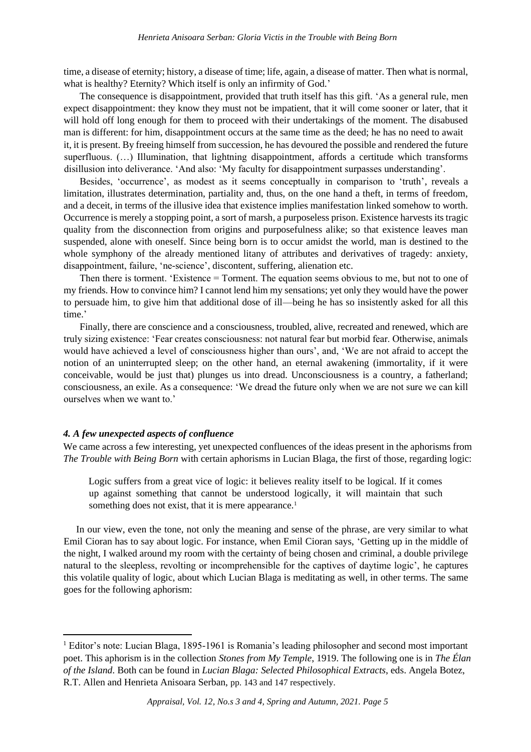time, a disease of eternity; history, a disease of time; life, again, a disease of matter. Then what is normal, what is healthy? Eternity? Which itself is only an infirmity of God.'

The consequence is disappointment, provided that truth itself has this gift. 'As a general rule, men expect disappointment: they know they must not be impatient, that it will come sooner or later, that it will hold off long enough for them to proceed with their undertakings of the moment. The disabused man is different: for him, disappointment occurs at the same time as the deed; he has no need to await it, it is present. By freeing himself from succession, he has devoured the possible and rendered the future superfluous. (...) Illumination, that lightning disappointment, affords a certitude which transforms disillusion into deliverance. 'And also: 'My faculty for disappointment surpasses understanding'.

Besides, 'occurrence', as modest as it seems conceptually in comparison to 'truth', reveals a limitation, illustrates determination, partiality and, thus, on the one hand a theft, in terms of freedom, and a deceit, in terms of the illusive idea that existence implies manifestation linked somehow to worth. Occurrence is merely a stopping point, a sort of marsh, a purposeless prison. Existence harvests its tragic quality from the disconnection from origins and purposefulness alike; so that existence leaves man suspended, alone with oneself. Since being born is to occur amidst the world, man is destined to the whole symphony of the already mentioned litany of attributes and derivatives of tragedy: anxiety, disappointment, failure, 'ne-science', discontent, suffering, alienation etc.

Then there is torment. 'Existence = Torment. The equation seems obvious to me, but not to one of my friends. How to convince him? I cannot lend him my sensations; yet only they would have the power to persuade him, to give him that additional dose of ill—being he has so insistently asked for all this time.'

Finally, there are conscience and a consciousness, troubled, alive, recreated and renewed, which are truly sizing existence: 'Fear creates consciousness: not natural fear but morbid fear. Otherwise, animals would have achieved a level of consciousness higher than ours', and, 'We are not afraid to accept the notion of an uninterrupted sleep; on the other hand, an eternal awakening (immortality, if it were conceivable, would be just that) plunges us into dread. Unconsciousness is a country, a fatherland; consciousness, an exile. As a consequence: 'We dread the future only when we are not sure we can kill ourselves when we want to.'

# *4. A few unexpected aspects of confluence*

We came across a few interesting, yet unexpected confluences of the ideas present in the aphorisms from *The Trouble with Being Born* with certain aphorisms in Lucian Blaga, the first of those, regarding logic:

Logic suffers from a great vice of logic: it believes reality itself to be logical. If it comes up against something that cannot be understood logically, it will maintain that such something does not exist, that it is mere appearance*.* 1

In our view, even the tone, not only the meaning and sense of the phrase, are very similar to what Emil Cioran has to say about logic. For instance, when Emil Cioran says, 'Getting up in the middle of the night, I walked around my room with the certainty of being chosen and criminal, a double privilege natural to the sleepless, revolting or incomprehensible for the captives of daytime logic', he captures this volatile quality of logic, about which Lucian Blaga is meditating as well, in other terms. The same goes for the following aphorism:

<sup>&</sup>lt;sup>1</sup> Editor's note: Lucian Blaga, 1895-1961 is Romania's leading philosopher and second most important poet. This aphorism is in the collection *Stones from My Temple*, 1919. The following one is in *The Élan of the Island*. Both can be found in *Lucian Blaga: Selected Philosophical Extracts*, eds. Angela Botez, R.T. Allen and Henrieta Anisoara Serban, pp. 143 and 147 respectively.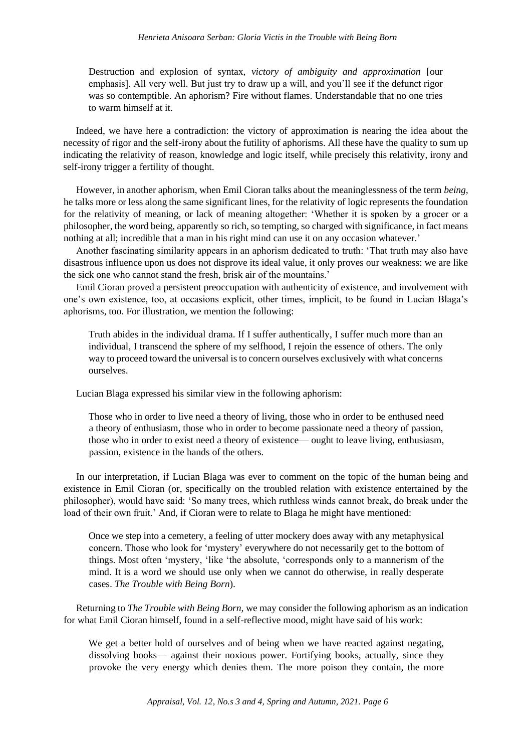Destruction and explosion of syntax, *victory of ambiguity and approximation* [our emphasis]. All very well. But just try to draw up a will, and you'll see if the defunct rigor was so contemptible. An aphorism? Fire without flames. Understandable that no one tries to warm himself at it.

Indeed, we have here a contradiction: the victory of approximation is nearing the idea about the necessity of rigor and the self-irony about the futility of aphorisms. All these have the quality to sum up indicating the relativity of reason, knowledge and logic itself, while precisely this relativity, irony and self-irony trigger a fertility of thought.

However, in another aphorism, when Emil Cioran talks about the meaninglessness of the term *being,*  he talks more or less along the same significant lines, for the relativity of logic represents the foundation for the relativity of meaning, or lack of meaning altogether: 'Whether it is spoken by a grocer or a philosopher, the word being, apparently so rich, so tempting, so charged with significance, in fact means nothing at all; incredible that a man in his right mind can use it on any occasion whatever.'

Another fascinating similarity appears in an aphorism dedicated to truth: 'That truth may also have disastrous influence upon us does not disprove its ideal value, it only proves our weakness: we are like the sick one who cannot stand the fresh, brisk air of the mountains.'

Emil Cioran proved a persistent preoccupation with authenticity of existence, and involvement with one's own existence, too, at occasions explicit, other times, implicit, to be found in Lucian Blaga's aphorisms, too. For illustration, we mention the following:

Truth abides in the individual drama. If I suffer authentically, I suffer much more than an individual, I transcend the sphere of my selfhood, I rejoin the essence of others. The only way to proceed toward the universal is to concern ourselves exclusively with what concerns ourselves.

Lucian Blaga expressed his similar view in the following aphorism:

Those who in order to live need a theory of living, those who in order to be enthused need a theory of enthusiasm, those who in order to become passionate need a theory of passion, those who in order to exist need a theory of existence— ought to leave living, enthusiasm, passion, existence in the hands of the others.

In our interpretation, if Lucian Blaga was ever to comment on the topic of the human being and existence in Emil Cioran (or, specifically on the troubled relation with existence entertained by the philosopher), would have said: 'So many trees, which ruthless winds cannot break, do break under the load of their own fruit.' And, if Cioran were to relate to Blaga he might have mentioned:

Once we step into a cemetery, a feeling of utter mockery does away with any metaphysical concern. Those who look for 'mystery' everywhere do not necessarily get to the bottom of things. Most often 'mystery, 'like 'the absolute, 'corresponds only to a mannerism of the mind. It is a word we should use only when we cannot do otherwise, in really desperate cases. *The Trouble with Being Born*).

Returning to *The Trouble with Being Born,* we may consider the following aphorism as an indication for what Emil Cioran himself, found in a self-reflective mood, might have said of his work:

We get a better hold of ourselves and of being when we have reacted against negating, dissolving books— against their noxious power. Fortifying books, actually, since they provoke the very energy which denies them. The more poison they contain, the more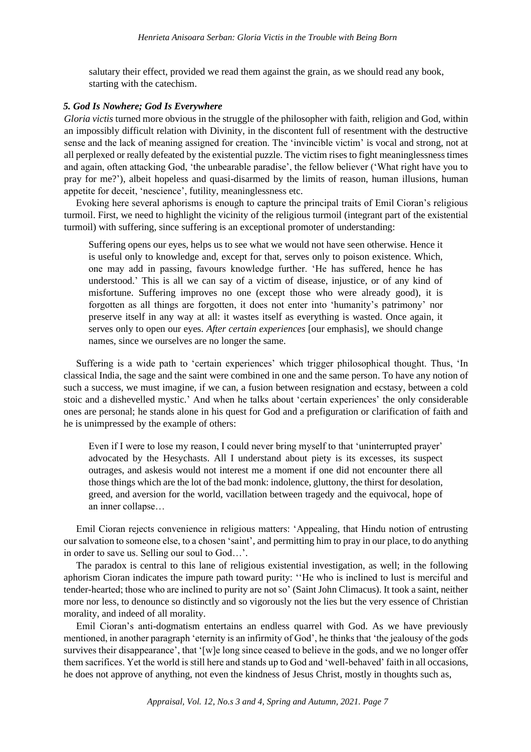salutary their effect, provided we read them against the grain, as we should read any book, starting with the catechism.

### *5. God Is Nowhere; God Is Everywhere*

*Gloria victis* turned more obvious in the struggle of the philosopher with faith, religion and God, within an impossibly difficult relation with Divinity, in the discontent full of resentment with the destructive sense and the lack of meaning assigned for creation. The 'invincible victim' is vocal and strong, not at all perplexed or really defeated by the existential puzzle. The victim rises to fight meaninglessness times and again, often attacking God, 'the unbearable paradise', the fellow believer ('What right have you to pray for me?'), albeit hopeless and quasi-disarmed by the limits of reason, human illusions, human appetite for deceit, 'nescience', futility, meaninglessness etc.

Evoking here several aphorisms is enough to capture the principal traits of Emil Cioran's religious turmoil. First, we need to highlight the vicinity of the religious turmoil (integrant part of the existential turmoil) with suffering, since suffering is an exceptional promoter of understanding:

Suffering opens our eyes, helps us to see what we would not have seen otherwise. Hence it is useful only to knowledge and, except for that, serves only to poison existence. Which, one may add in passing, favours knowledge further. 'He has suffered, hence he has understood.' This is all we can say of a victim of disease, injustice, or of any kind of misfortune. Suffering improves no one (except those who were already good), it is forgotten as all things are forgotten, it does not enter into 'humanity's patrimony' nor preserve itself in any way at all: it wastes itself as everything is wasted. Once again, it serves only to open our eyes. *After certain experiences* [our emphasis], we should change names, since we ourselves are no longer the same.

Suffering is a wide path to 'certain experiences' which trigger philosophical thought. Thus, 'In classical India, the sage and the saint were combined in one and the same person. To have any notion of such a success, we must imagine, if we can, a fusion between resignation and ecstasy, between a cold stoic and a dishevelled mystic.' And when he talks about 'certain experiences' the only considerable ones are personal; he stands alone in his quest for God and a prefiguration or clarification of faith and he is unimpressed by the example of others:

Even if I were to lose my reason, I could never bring myself to that 'uninterrupted prayer' advocated by the Hesychasts. All I understand about piety is its excesses, its suspect outrages, and askesis would not interest me a moment if one did not encounter there all those things which are the lot of the bad monk: indolence, gluttony, the thirst for desolation, greed, and aversion for the world, vacillation between tragedy and the equivocal, hope of an inner collapse…

Emil Cioran rejects convenience in religious matters: 'Appealing, that Hindu notion of entrusting our salvation to someone else, to a chosen 'saint', and permitting him to pray in our place, to do anything in order to save us. Selling our soul to God…'.

The paradox is central to this lane of religious existential investigation, as well; in the following aphorism Cioran indicates the impure path toward purity: ''He who is inclined to lust is merciful and tender-hearted; those who are inclined to purity are not so' (Saint John Climacus). It took a saint, neither more nor less, to denounce so distinctly and so vigorously not the lies but the very essence of Christian morality, and indeed of all morality.

Emil Cioran's anti-dogmatism entertains an endless quarrel with God. As we have previously mentioned, in another paragraph 'eternity is an infirmity of God', he thinks that 'the jealousy of the gods survives their disappearance', that '[w]e long since ceased to believe in the gods, and we no longer offer them sacrifices. Yet the world is still here and stands up to God and 'well-behaved' faith in all occasions, he does not approve of anything, not even the kindness of Jesus Christ, mostly in thoughts such as,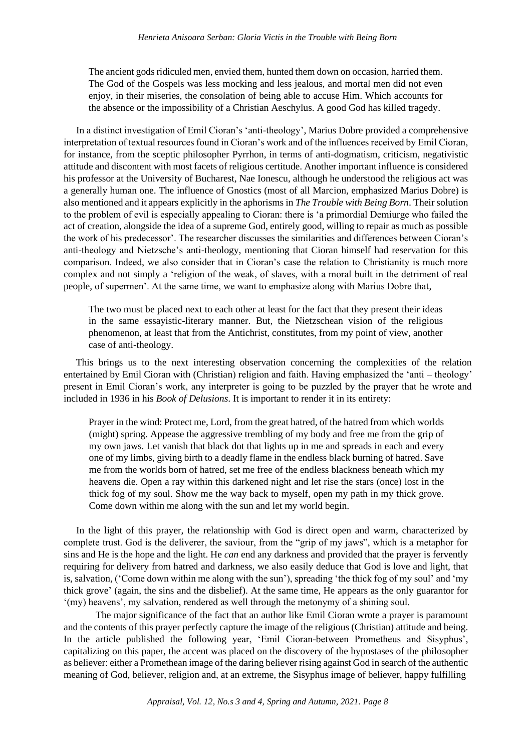The ancient gods ridiculed men, envied them, hunted them down on occasion, harried them. The God of the Gospels was less mocking and less jealous, and mortal men did not even enjoy, in their miseries, the consolation of being able to accuse Him. Which accounts for the absence or the impossibility of a Christian Aeschylus. A good God has killed tragedy.

In a distinct investigation of Emil Cioran's 'anti-theology', Marius Dobre provided a comprehensive interpretation of textual resources found in Cioran's work and of the influences received by Emil Cioran, for instance, from the sceptic philosopher Pyrrhon, in terms of anti-dogmatism, criticism, negativistic attitude and discontent with most facets of religious certitude. Another important influence is considered his professor at the University of Bucharest, Nae Ionescu, although he understood the religious act was a generally human one. The influence of Gnostics (most of all Marcion, emphasized Marius Dobre) is also mentioned and it appears explicitly in the aphorisms in *The Trouble with Being Born*. Their solution to the problem of evil is especially appealing to Cioran: there is 'a primordial Demiurge who failed the act of creation, alongside the idea of a supreme God, entirely good, willing to repair as much as possible the work of his predecessor'. The researcher discusses the similarities and differences between Cioran's anti-theology and Nietzsche's anti-theology, mentioning that Cioran himself had reservation for this comparison. Indeed, we also consider that in Cioran's case the relation to Christianity is much more complex and not simply a 'religion of the weak, of slaves, with a moral built in the detriment of real people, of supermen'. At the same time, we want to emphasize along with Marius Dobre that,

The two must be placed next to each other at least for the fact that they present their ideas in the same essayistic-literary manner. But, the Nietzschean vision of the religious phenomenon, at least that from the Antichrist, constitutes, from my point of view, another case of anti-theology.

This brings us to the next interesting observation concerning the complexities of the relation entertained by Emil Cioran with (Christian) religion and faith. Having emphasized the 'anti – theology' present in Emil Cioran's work, any interpreter is going to be puzzled by the prayer that he wrote and included in 1936 in his *Book of Delusions*. It is important to render it in its entirety:

Prayer in the wind: Protect me, Lord, from the great hatred, of the hatred from which worlds (might) spring. Appease the aggressive trembling of my body and free me from the grip of my own jaws. Let vanish that black dot that lights up in me and spreads in each and every one of my limbs, giving birth to a deadly flame in the endless black burning of hatred. Save me from the worlds born of hatred, set me free of the endless blackness beneath which my heavens die. Open a ray within this darkened night and let rise the stars (once) lost in the thick fog of my soul. Show me the way back to myself, open my path in my thick grove. Come down within me along with the sun and let my world begin.

In the light of this prayer, the relationship with God is direct open and warm, characterized by complete trust. God is the deliverer, the saviour, from the "grip of my jaws", which is a metaphor for sins and He is the hope and the light. He *can* end any darkness and provided that the prayer is fervently requiring for delivery from hatred and darkness, we also easily deduce that God is love and light, that is, salvation, ('Come down within me along with the sun'), spreading 'the thick fog of my soul' and 'my thick grove' (again, the sins and the disbelief). At the same time, He appears as the only guarantor for '(my) heavens', my salvation, rendered as well through the metonymy of a shining soul.

The major significance of the fact that an author like Emil Cioran wrote a prayer is paramount and the contents of this prayer perfectly capture the image of the religious (Christian) attitude and being. In the article published the following year, 'Emil Cioran-between Prometheus and Sisyphus', capitalizing on this paper, the accent was placed on the discovery of the hypostases of the philosopher as believer: either a Promethean image of the daring believer rising against God in search of the authentic meaning of God, believer, religion and, at an extreme, the Sisyphus image of believer, happy fulfilling